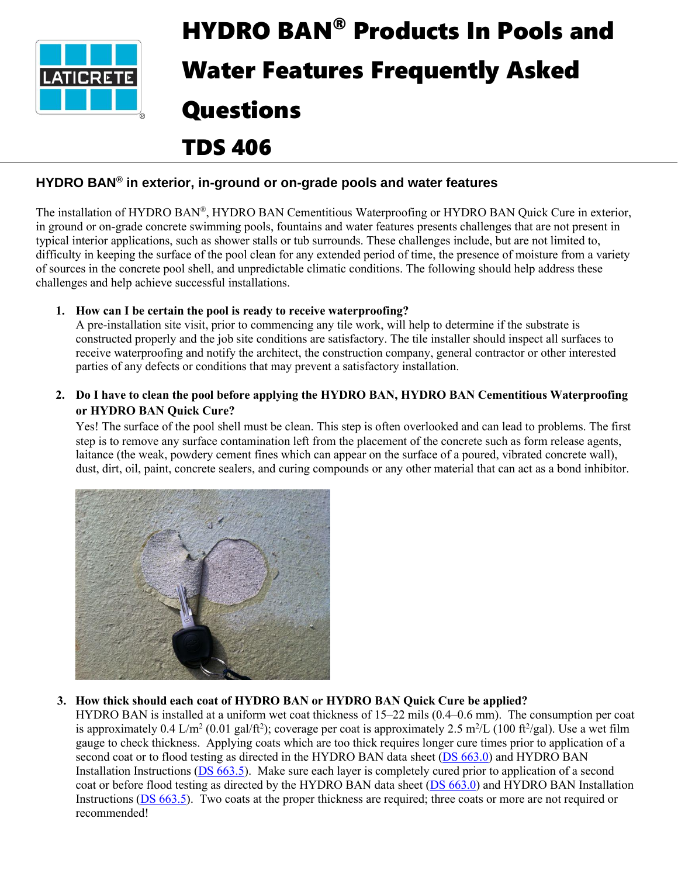

# HYDRO BAN® Products In Pools and Water Features Frequently Asked Questions

TDS 406

# **HYDRO BAN® in exterior, in-ground or on-grade pools and water features**

The installation of HYDRO BAN®, HYDRO BAN Cementitious Waterproofing or HYDRO BAN Quick Cure in exterior, in ground or on-grade concrete swimming pools, fountains and water features presents challenges that are not present in typical interior applications, such as shower stalls or tub surrounds. These challenges include, but are not limited to, difficulty in keeping the surface of the pool clean for any extended period of time, the presence of moisture from a variety of sources in the concrete pool shell, and unpredictable climatic conditions. The following should help address these challenges and help achieve successful installations.

## **1. How can I be certain the pool is ready to receive waterproofing?**

A pre-installation site visit, prior to commencing any tile work, will help to determine if the substrate is constructed properly and the job site conditions are satisfactory. The tile installer should inspect all surfaces to receive waterproofing and notify the architect, the construction company, general contractor or other interested parties of any defects or conditions that may prevent a satisfactory installation.

## **2. Do I have to clean the pool before applying the HYDRO BAN, HYDRO BAN Cementitious Waterproofing or HYDRO BAN Quick Cure?**

Yes! The surface of the pool shell must be clean. This step is often overlooked and can lead to problems. The first step is to remove any surface contamination left from the placement of the concrete such as form release agents, laitance (the weak, powdery cement fines which can appear on the surface of a poured, vibrated concrete wall), dust, dirt, oil, paint, concrete sealers, and curing compounds or any other material that can act as a bond inhibitor.



## **3. How thick should each coat of HYDRO BAN or HYDRO BAN Quick Cure be applied?**

HYDRO BAN is installed at a uniform wet coat thickness of 15–22 mils (0.4–0.6 mm). The consumption per coat is approximately 0.4 L/m<sup>2</sup> (0.01 gal/ft<sup>2</sup>); coverage per coat is approximately 2.5 m<sup>2</sup>/L (100 ft<sup>2</sup>/gal). Use a wet film gauge to check thickness. Applying coats which are too thick requires longer cure times prior to application of a second coat or to flood testing as directed in the HYDRO BAN data sheet [\(DS 663.0\)](https://cdn.laticrete.com/~/media/product-documents/product-data-sheets/ds-663.ashx) and HYDRO BAN Installation Instructions [\(DS 663.5\)](https://cdn.laticrete.com/~/media/product-documents/installation-information/ds6635_improved.ashx). Make sure each layer is completely cured prior to application of a second coat or before flood testing as directed by the HYDRO BAN data sheet [\(DS 663.0\)](https://cdn.laticrete.com/~/media/product-documents/product-data-sheets/ds-663.ashx) and HYDRO BAN Installation Instructions [\(DS 663.5\)](https://cdn.laticrete.com/~/media/product-documents/installation-information/ds6635_improved.ashx). Two coats at the proper thickness are required; three coats or more are not required or recommended!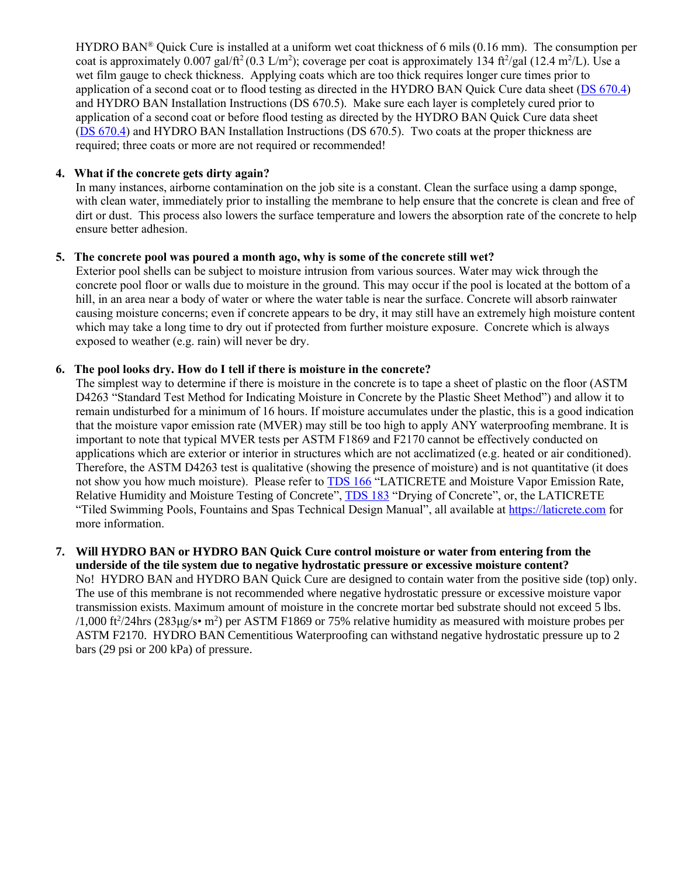HYDRO BAN® Quick Cure is installed at a uniform wet coat thickness of 6 mils (0.16 mm). The consumption per coat is approximately  $0.007$  gal/ $ft^2(0.3 \text{ L/m}^2)$ ; coverage per coat is approximately 134  $ft^2$ /gal (12.4 m<sup>2</sup>/L). Use a wet film gauge to check thickness. Applying coats which are too thick requires longer cure times prior to application of a second coat or to flood testing as directed in the HYDRO BAN Quick Cure data sheet [\(DS 670.4\)](https://cdn.laticrete.com/~/media/product-documents/product-data-sheets/ds6704-hydro-ban-quick-cure.ashx) and HYDRO BAN Installation Instructions (DS 670.5). Make sure each layer is completely cured prior to application of a second coat or before flood testing as directed by the HYDRO BAN Quick Cure data sheet [\(DS 670.4\)](https://cdn.laticrete.com/~/media/product-documents/product-data-sheets/ds6704-hydro-ban-quick-cure.ashx) and HYDRO BAN Installation Instructions (DS 670.5). Two coats at the proper thickness are required; three coats or more are not required or recommended!

#### **4. What if the concrete gets dirty again?**

In many instances, airborne contamination on the job site is a constant. Clean the surface using a damp sponge, with clean water, immediately prior to installing the membrane to help ensure that the concrete is clean and free of dirt or dust. This process also lowers the surface temperature and lowers the absorption rate of the concrete to help ensure better adhesion.

#### **5. The concrete pool was poured a month ago, why is some of the concrete still wet?**

Exterior pool shells can be subject to moisture intrusion from various sources. Water may wick through the concrete pool floor or walls due to moisture in the ground. This may occur if the pool is located at the bottom of a hill, in an area near a body of water or where the water table is near the surface. Concrete will absorb rainwater causing moisture concerns; even if concrete appears to be dry, it may still have an extremely high moisture content which may take a long time to dry out if protected from further moisture exposure. Concrete which is always exposed to weather (e.g. rain) will never be dry.

#### **6. The pool looks dry. How do I tell if there is moisture in the concrete?**

The simplest way to determine if there is moisture in the concrete is to tape a sheet of plastic on the floor (ASTM D4263 "Standard Test Method for Indicating Moisture in Concrete by the Plastic Sheet Method") and allow it to remain undisturbed for a minimum of 16 hours. If moisture accumulates under the plastic, this is a good indication that the moisture vapor emission rate (MVER) may still be too high to apply ANY waterproofing membrane. It is important to note that typical MVER tests per ASTM F1869 and F2170 cannot be effectively conducted on applications which are exterior or interior in structures which are not acclimatized (e.g. heated or air conditioned). Therefore, the ASTM D4263 test is qualitative (showing the presence of moisture) and is not quantitative (it does not show you how much moisture). Please refer to [TDS](https://cdn.laticrete.com/~/media/support-and-downloads/technical-datasheets/tds166.ashx) 166 "LATICRETE and Moisture Vapor Emission Rate, Relative Humidity and Moisture Testing of Concrete", [TDS](https://cdn.laticrete.com/~/media/support-and-downloads/technical-datasheets/tds183.ashx) 183 "Drying of Concrete", or, the LATICRETE "Tiled Swimming Pools, Fountains and Spas Technical Design Manual", all available at [https://laticrete.com](https://laticrete.com/) for more information.

#### **7. Will HYDRO BAN or HYDRO BAN Quick Cure control moisture or water from entering from the underside of the tile system due to negative hydrostatic pressure or excessive moisture content?**

No! HYDRO BAN and HYDRO BAN Quick Cure are designed to contain water from the positive side (top) only. The use of this membrane is not recommended where negative hydrostatic pressure or excessive moisture vapor transmission exists. Maximum amount of moisture in the concrete mortar bed substrate should not exceed 5 lbs. /1,000 ft<sup>2</sup> /24hrs (283μg/s• m<sup>2</sup> ) per ASTM F1869 or 75% relative humidity as measured with moisture probes per ASTM F2170. HYDRO BAN Cementitious Waterproofing can withstand negative hydrostatic pressure up to 2 bars (29 psi or 200 kPa) of pressure.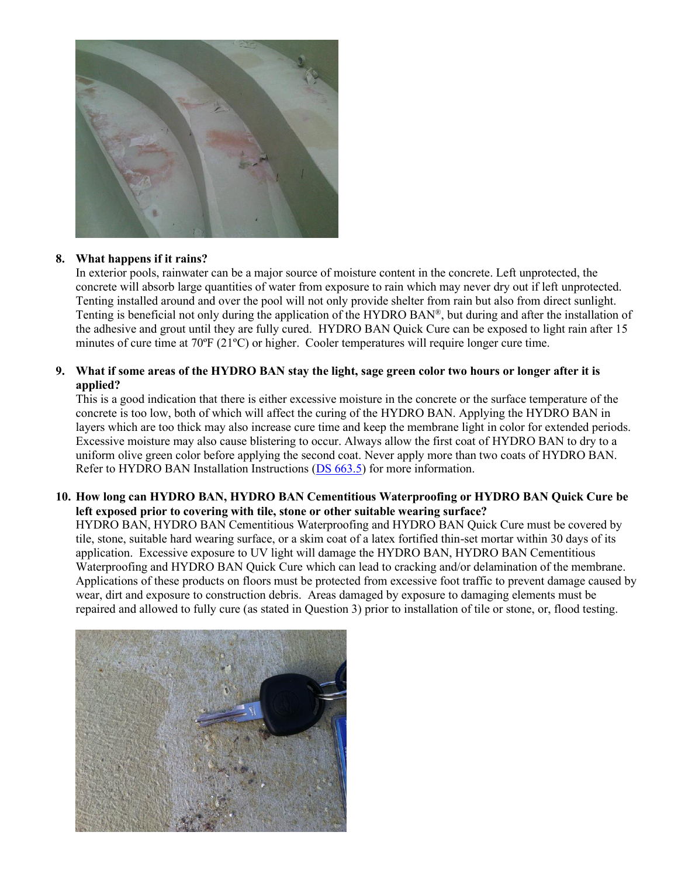

## **8. What happens if it rains?**

In exterior pools, rainwater can be a major source of moisture content in the concrete. Left unprotected, the concrete will absorb large quantities of water from exposure to rain which may never dry out if left unprotected. Tenting installed around and over the pool will not only provide shelter from rain but also from direct sunlight. Tenting is beneficial not only during the application of the HYDRO BAN®, but during and after the installation of the adhesive and grout until they are fully cured. HYDRO BAN Quick Cure can be exposed to light rain after 15 minutes of cure time at 70ºF (21ºC) or higher. Cooler temperatures will require longer cure time.

#### **9. What if some areas of the HYDRO BAN stay the light, sage green color two hours or longer after it is applied?**

This is a good indication that there is either excessive moisture in the concrete or the surface temperature of the concrete is too low, both of which will affect the curing of the HYDRO BAN. Applying the HYDRO BAN in layers which are too thick may also increase cure time and keep the membrane light in color for extended periods. Excessive moisture may also cause blistering to occur. Always allow the first coat of HYDRO BAN to dry to a uniform olive green color before applying the second coat. Never apply more than two coats of HYDRO BAN. Refer to HYDRO BAN Installation Instructions [\(DS 663.5\)](https://cdn.laticrete.com/~/media/product-documents/installation-information/ds6635_improved.ashx) for more information.

## **10. How long can HYDRO BAN, HYDRO BAN Cementitious Waterproofing or HYDRO BAN Quick Cure be left exposed prior to covering with tile, stone or other suitable wearing surface?**

HYDRO BAN, HYDRO BAN Cementitious Waterproofing and HYDRO BAN Quick Cure must be covered by tile, stone, suitable hard wearing surface, or a skim coat of a latex fortified thin-set mortar within 30 days of its application. Excessive exposure to UV light will damage the HYDRO BAN, HYDRO BAN Cementitious Waterproofing and HYDRO BAN Quick Cure which can lead to cracking and/or delamination of the membrane. Applications of these products on floors must be protected from excessive foot traffic to prevent damage caused by wear, dirt and exposure to construction debris. Areas damaged by exposure to damaging elements must be repaired and allowed to fully cure (as stated in Question 3) prior to installation of tile or stone, or, flood testing.